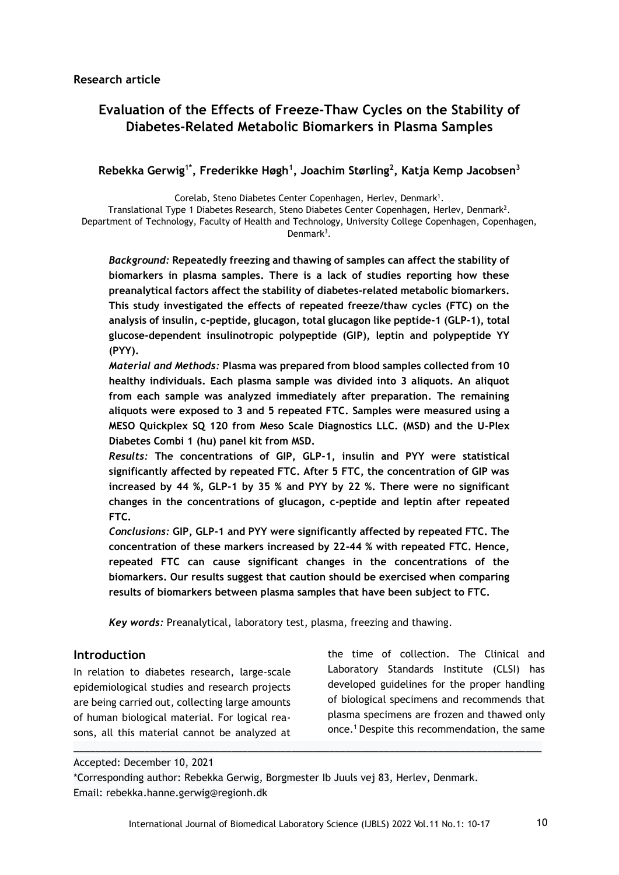# **Evaluation of the Effects of Freeze-Thaw Cycles on the Stability of Diabetes-Related Metabolic Biomarkers in Plasma Samples**

## **Rebekka Gerwig1\*, Frederikke Høgh<sup>1</sup> , Joachim Størling<sup>2</sup> , Katja Kemp Jacobsen<sup>3</sup>**

Corelab, Steno Diabetes Center Copenhagen, Herlev, Denmark<sup>1</sup>.

Translational Type 1 Diabetes Research, Steno Diabetes Center Copenhagen, Herlev, Denmark<sup>2</sup> . Department of Technology, Faculty of Health and Technology, University College Copenhagen, Copenhagen, Denmark<sup>3</sup>.

*Background:* **Repeatedly freezing and thawing of samples can affect the stability of biomarkers in plasma samples. There is a lack of studies reporting how these preanalytical factors affect the stability of diabetes-related metabolic biomarkers. This study investigated the effects of repeated freeze/thaw cycles (FTC) on the analysis of insulin, c-peptide, glucagon, total glucagon like peptide-1 (GLP-1), total glucose-dependent insulinotropic polypeptide (GIP), leptin and polypeptide YY (PYY).**

*Material and Methods:* **Plasma was prepared from blood samples collected from 10 healthy individuals. Each plasma sample was divided into 3 aliquots. An aliquot from each sample was analyzed immediately after preparation. The remaining aliquots were exposed to 3 and 5 repeated FTC. Samples were measured using a MESO Quickplex SQ 120 from Meso Scale Diagnostics LLC. (MSD) and the U-Plex Diabetes Combi 1 (hu) panel kit from MSD.**

*Results:* **The concentrations of GIP, GLP-1, insulin and PYY were statistical significantly affected by repeated FTC. After 5 FTC, the concentration of GIP was increased by 44 %, GLP-1 by 35 % and PYY by 22 %. There were no significant changes in the concentrations of glucagon, c-peptide and leptin after repeated FTC.**

*Conclusions:* **GIP, GLP-1 and PYY were significantly affected by repeated FTC. The concentration of these markers increased by 22-44 % with repeated FTC. Hence, repeated FTC can cause significant changes in the concentrations of the biomarkers. Our results suggest that caution should be exercised when comparing results of biomarkers between plasma samples that have been subject to FTC.**

*Key words:* Preanalytical, laboratory test, plasma, freezing and thawing.

#### **Introduction**

In relation to diabetes research, large-scale epidemiological studies and research projects are being carried out, collecting large amounts of human biological material. For logical reasons, all this material cannot be analyzed at the time of collection. The Clinical and Laboratory Standards Institute (CLSI) has developed guidelines for the proper handling of biological specimens and recommends that plasma specimens are frozen and thawed only once.<sup>1</sup> Despite this recommendation, the same

Accepted: December 10, 2021

\*Corresponding author: Rebekka Gerwig, Borgmester Ib Juuls vej 83, Herlev, Denmark. Email: rebekka.hanne.gerwig@regionh.dk

 $\_$  ,  $\_$  ,  $\_$  ,  $\_$  ,  $\_$  ,  $\_$  ,  $\_$  ,  $\_$  ,  $\_$  ,  $\_$  ,  $\_$  ,  $\_$  ,  $\_$  ,  $\_$  ,  $\_$  ,  $\_$  ,  $\_$  ,  $\_$  ,  $\_$  ,  $\_$  ,  $\_$  ,  $\_$  ,  $\_$  ,  $\_$  ,  $\_$  ,  $\_$  ,  $\_$  ,  $\_$  ,  $\_$  ,  $\_$  ,  $\_$  ,  $\_$  ,  $\_$  ,  $\_$  ,  $\_$  ,  $\_$  ,  $\_$  ,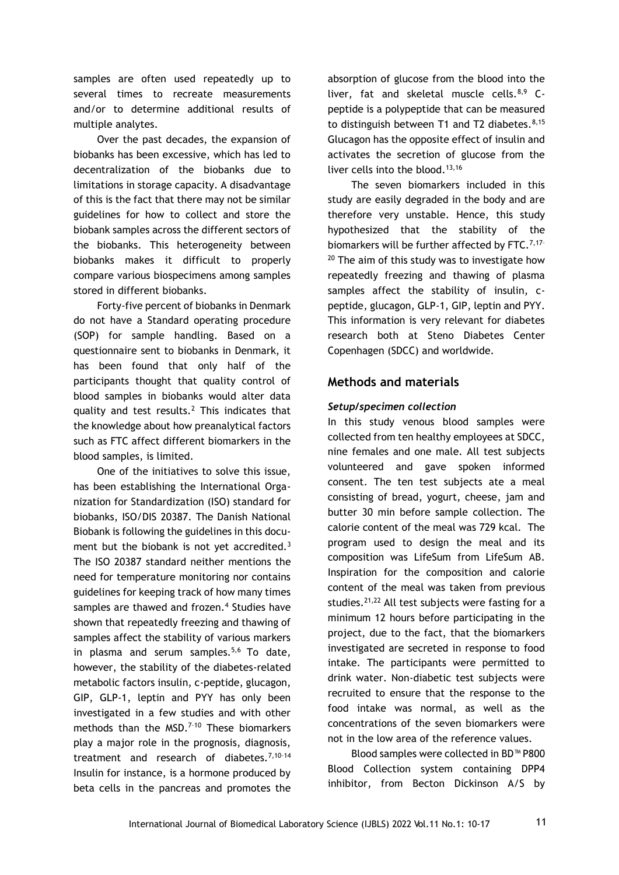samples are often used repeatedly up to several times to recreate measurements and/or to determine additional results of multiple analytes.

Over the past decades, the expansion of biobanks has been excessive, which has led to decentralization of the biobanks due to limitations in storage capacity. A disadvantage of this is the fact that there may not be similar guidelines for how to collect and store the biobank samples across the different sectors of the biobanks. This heterogeneity between biobanks makes it difficult to properly compare various biospecimens among samples stored in different biobanks.

Forty-five percent of biobanks in Denmark do not have a Standard operating procedure (SOP) for sample handling. Based on a questionnaire sent to biobanks in Denmark, it has been found that only half of the participants thought that quality control of blood samples in biobanks would alter data quality and test results.<sup>2</sup> This indicates that the knowledge about how preanalytical factors such as FTC affect different biomarkers in the blood samples, is limited.

One of the initiatives to solve this issue, has been establishing the International Organization for Standardization (ISO) standard for biobanks, ISO/DIS 20387. The Danish National Biobank is following the guidelines in this document but the biobank is not yet accredited.<sup>3</sup> The ISO 20387 standard neither mentions the need for temperature monitoring nor contains guidelines for keeping track of how many times samples are thawed and frozen.<sup>4</sup> Studies have shown that repeatedly freezing and thawing of samples affect the stability of various markers in plasma and serum samples. $5,6$  To date, however, the stability of the diabetes-related metabolic factors insulin, c-peptide, glucagon, GIP, GLP-1, leptin and PYY has only been investigated in a few studies and with other methods than the MSD.<sup>7-10</sup> These biomarkers play a major role in the prognosis, diagnosis, treatment and research of diabetes. $7,10-14$ Insulin for instance, is a hormone produced by beta cells in the pancreas and promotes the absorption of glucose from the blood into the liver, fat and skeletal muscle cells. $8,9$  Cpeptide is a polypeptide that can be measured to distinguish between T1 and T2 diabetes. $8,15$ Glucagon has the opposite effect of insulin and activates the secretion of glucose from the liver cells into the blood.<sup>13,16</sup>

The seven biomarkers included in this study are easily degraded in the body and are therefore very unstable. Hence, this study hypothesized that the stability of the biomarkers will be further affected by FTC.<sup>7,17-</sup>  $20$  The aim of this study was to investigate how repeatedly freezing and thawing of plasma samples affect the stability of insulin, cpeptide, glucagon, GLP-1, GIP, leptin and PYY. This information is very relevant for diabetes research both at Steno Diabetes Center Copenhagen (SDCC) and worldwide.

## **Methods and materials**

#### *Setup/specimen collection*

In this study venous blood samples were collected from ten healthy employees at SDCC, nine females and one male. All test subjects volunteered and gave spoken informed consent. The ten test subjects ate a meal consisting of bread, yogurt, cheese, jam and butter 30 min before sample collection. The calorie content of the meal was 729 kcal. The program used to design the meal and its composition was LifeSum from LifeSum AB. Inspiration for the composition and calorie content of the meal was taken from previous studies. $21,22$  All test subjects were fasting for a minimum 12 hours before participating in the project, due to the fact, that the biomarkers investigated are secreted in response to food intake. The participants were permitted to drink water. Non-diabetic test subjects were recruited to ensure that the response to the food intake was normal, as well as the concentrations of the seven biomarkers were not in the low area of the reference values.

Blood samples were collected in BD™ P800 Blood Collection system containing DPP4 inhibitor, from Becton Dickinson A/S by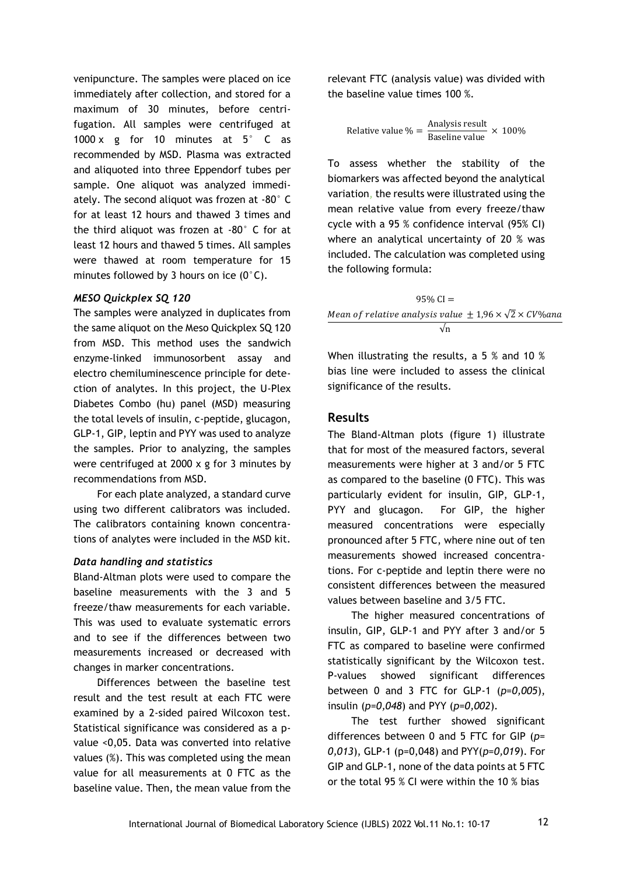venipuncture. The samples were placed on ice immediately after collection, and stored for a maximum of 30 minutes, before centrifugation. All samples were centrifuged at 1000 x g for 10 minutes at  $5^{\circ}$  C as recommended by MSD. Plasma was extracted and aliquoted into three Eppendorf tubes per sample. One aliquot was analyzed immediately. The second aliquot was frozen at -80° C for at least 12 hours and thawed 3 times and the third aliquot was frozen at -80° C for at least 12 hours and thawed 5 times. All samples were thawed at room temperature for 15 minutes followed by 3 hours on ice (0°C).

#### *MESO Quickplex SQ 120*

The samples were analyzed in duplicates from the same aliquot on the Meso Quickplex SQ 120 from MSD. This method uses the sandwich enzyme-linked immunosorbent assay and electro chemiluminescence principle for detection of analytes. In this project, the U-Plex Diabetes Combo (hu) panel (MSD) measuring the total levels of insulin, c-peptide, glucagon, GLP-1, GIP, leptin and PYY was used to analyze the samples. Prior to analyzing, the samples were centrifuged at 2000 x g for 3 minutes by recommendations from MSD.

For each plate analyzed, a standard curve using two different calibrators was included. The calibrators containing known concentrations of analytes were included in the MSD kit.

#### *Data handling and statistics*

Bland-Altman plots were used to compare the baseline measurements with the 3 and 5 freeze/thaw measurements for each variable. This was used to evaluate systematic errors and to see if the differences between two measurements increased or decreased with changes in marker concentrations.

Differences between the baseline test result and the test result at each FTC were examined by a 2-sided paired Wilcoxon test. Statistical significance was considered as a pvalue <0,05. Data was converted into relative values (%). This was completed using the mean value for all measurements at 0 FTC as the baseline value. Then, the mean value from the

relevant FTC (analysis value) was divided with the baseline value times 100 %.

Relative value 
$$
\% = \frac{\text{Analysis result}}{\text{Baseline value}} \times 100\%
$$

To assess whether the stability of the biomarkers was affected beyond the analytical variation**,** the results were illustrated using the mean relative value from every freeze/thaw cycle with a 95 % confidence interval (95% CI) where an analytical uncertainty of 20 % was included. The calculation was completed using the following formula:

 $95\%$  CI = Mean of relative analysis value  $\pm 1.96 \times \sqrt{2} \times CV\%$ ana √n

When illustrating the results, a 5 % and 10 % bias line were included to assess the clinical significance of the results.

#### **Results**

The Bland-Altman plots (figure 1) illustrate that for most of the measured factors, several measurements were higher at 3 and/or 5 FTC as compared to the baseline (0 FTC). This was particularly evident for insulin, GIP, GLP-1, PYY and glucagon. For GIP, the higher measured concentrations were especially pronounced after 5 FTC, where nine out of ten measurements showed increased concentrations. For c-peptide and leptin there were no consistent differences between the measured values between baseline and 3/5 FTC.

The higher measured concentrations of insulin, GIP, GLP-1 and PYY after 3 and/or 5 FTC as compared to baseline were confirmed statistically significant by the Wilcoxon test. P-values showed significant differences between 0 and 3 FTC for GLP-1 (*p=0,005*), insulin (*p=0,048*) and PYY (*p=0,002*).

The test further showed significant differences between 0 and 5 FTC for GIP (*p= 0,013*), GLP-1 (p=0,048) and PYY(*p=0,019*). For GIP and GLP-1, none of the data points at 5 FTC or the total 95 % CI were within the 10 % bias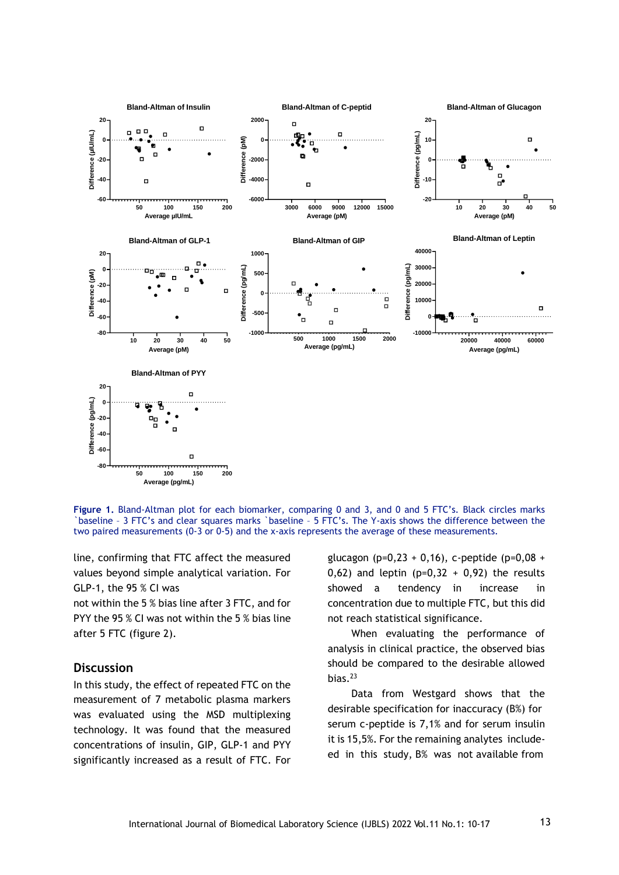

**Figure 1.** Bland-Altman plot for each biomarker, comparing 0 and 3, and 0 and 5 FTC's. Black circles marks `baseline – 3 FTC's and clear squares marks `baseline – 5 FTC's. The Y-axis shows the difference between the two paired measurements (0-3 or 0-5) and the x-axis represents the average of these measurements.

line, confirming that FTC affect the measured values beyond simple analytical variation. For GLP-1, the 95 % CI was

not within the 5 % bias line after 3 FTC, and for PYY the 95 % CI was not within the 5 % bias line after 5 FTC (figure 2).

#### **Discussion**

In this study, the effect of repeated FTC on the measurement of 7 metabolic plasma markers was evaluated using the MSD multiplexing technology. It was found that the measured concentrations of insulin, GIP, GLP-1 and PYY significantly increased as a result of FTC. For glucagon (p=0,23 + 0,16), c-peptide (p=0,08 + 0,62) and leptin  $(p=0,32 + 0,92)$  the results showed a tendency in increase in concentration due to multiple FTC, but this did not reach statistical significance.

When evaluating the performance of analysis in clinical practice, the observed bias should be compared to the desirable allowed bias. $^{23}$ 

Data from Westgard shows that the desirable specification for inaccuracy (B%) for serum c-peptide is 7,1% and for serum insulin it is 15,5%. For the remaining analytes includeed in this study, B% was not available from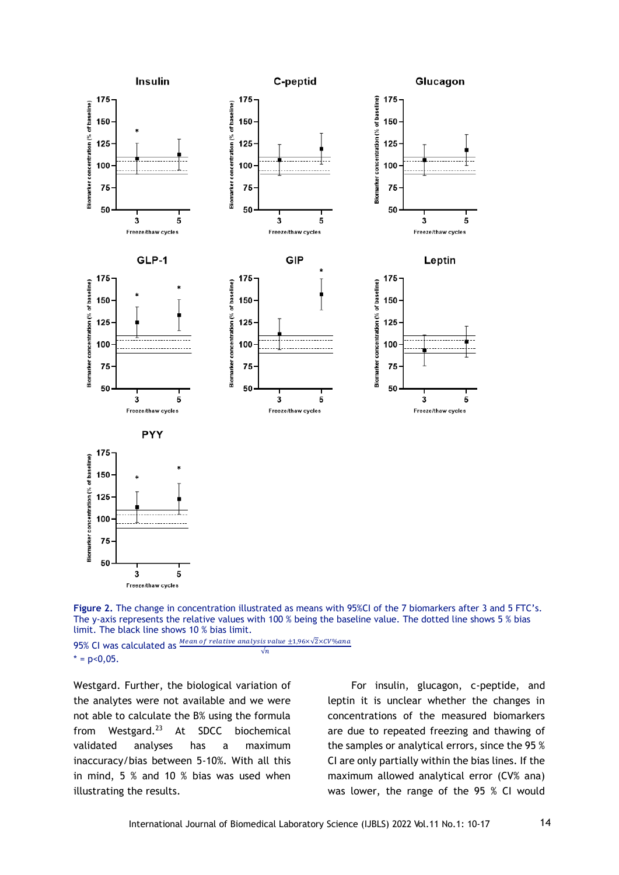



95% CI was calculated as Mean of relative analysis value ±1,96×√2×CV%ana  $\sqrt{n}$  $* = p < 0,05$ .

Westgard. Further, the biological variation of the analytes were not available and we were not able to calculate the B% using the formula from Westgard.<sup>23</sup> At SDCC biochemical validated analyses has a maximum inaccuracy/bias between 5-10%. With all this in mind, 5 % and 10 % bias was used when illustrating the results.

For insulin, glucagon, c-peptide, and leptin it is unclear whether the changes in concentrations of the measured biomarkers are due to repeated freezing and thawing of the samples or analytical errors, since the 95 % CI are only partially within the bias lines. If the maximum allowed analytical error (CV% ana) was lower, the range of the 95 % CI would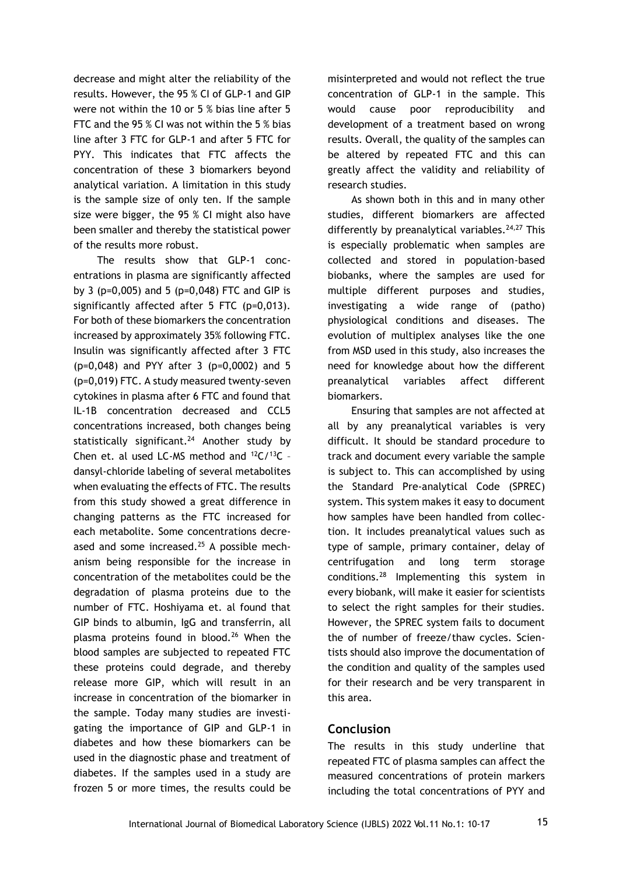decrease and might alter the reliability of the results. However, the 95 % CI of GLP-1 and GIP were not within the 10 or 5 % bias line after 5 FTC and the 95 % CI was not within the 5 % bias line after 3 FTC for GLP-1 and after 5 FTC for PYY. This indicates that FTC affects the concentration of these 3 biomarkers beyond analytical variation. A limitation in this study is the sample size of only ten. If the sample size were bigger, the 95 % CI might also have been smaller and thereby the statistical power of the results more robust.

The results show that GLP-1 concentrations in plasma are significantly affected by 3 (p=0,005) and 5 (p=0,048) FTC and GIP is significantly affected after 5 FTC (p=0,013). For both of these biomarkers the concentration increased by approximately 35% following FTC. Insulin was significantly affected after 3 FTC (p=0,048) and PYY after 3 (p=0,0002) and 5 (p=0,019) FTC. A study measured twenty-seven cytokines in plasma after 6 FTC and found that IL-1B concentration decreased and CCL5 concentrations increased, both changes being statistically significant.<sup>24</sup> Another study by Chen et. al used LC-MS method and  $12C/13C$  dansyl-chloride labeling of several metabolites when evaluating the effects of FTC. The results from this study showed a great difference in changing patterns as the FTC increased for each metabolite. Some concentrations decreased and some increased. $25$  A possible mechanism being responsible for the increase in concentration of the metabolites could be the degradation of plasma proteins due to the number of FTC. Hoshiyama et. al found that GIP binds to albumin, IgG and transferrin, all plasma proteins found in blood.<sup>26</sup> When the blood samples are subjected to repeated FTC these proteins could degrade, and thereby release more GIP, which will result in an increase in concentration of the biomarker in the sample. Today many studies are investigating the importance of GIP and GLP-1 in diabetes and how these biomarkers can be used in the diagnostic phase and treatment of diabetes. If the samples used in a study are frozen 5 or more times, the results could be misinterpreted and would not reflect the true concentration of GLP-1 in the sample. This would cause poor reproducibility and development of a treatment based on wrong results. Overall, the quality of the samples can be altered by repeated FTC and this can greatly affect the validity and reliability of research studies.

As shown both in this and in many other studies, different biomarkers are affected differently by preanalytical variables.<sup>24,27</sup> This is especially problematic when samples are collected and stored in population-based biobanks, where the samples are used for multiple different purposes and studies, investigating a wide range of (patho) physiological conditions and diseases. The evolution of multiplex analyses like the one from MSD used in this study, also increases the need for knowledge about how the different preanalytical variables affect different biomarkers.

Ensuring that samples are not affected at all by any preanalytical variables is very difficult. It should be standard procedure to track and document every variable the sample is subject to. This can accomplished by using the Standard Pre-analytical Code (SPREC) system. This system makes it easy to document how samples have been handled from collection. It includes preanalytical values such as type of sample, primary container, delay of centrifugation and long term storage conditions.<sup>28</sup> Implementing this system in every biobank, will make it easier for scientists to select the right samples for their studies. However, the SPREC system fails to document the of number of freeze/thaw cycles. Scientists should also improve the documentation of the condition and quality of the samples used for their research and be very transparent in this area.

## **Conclusion**

The results in this study underline that repeated FTC of plasma samples can affect the measured concentrations of protein markers including the total concentrations of PYY and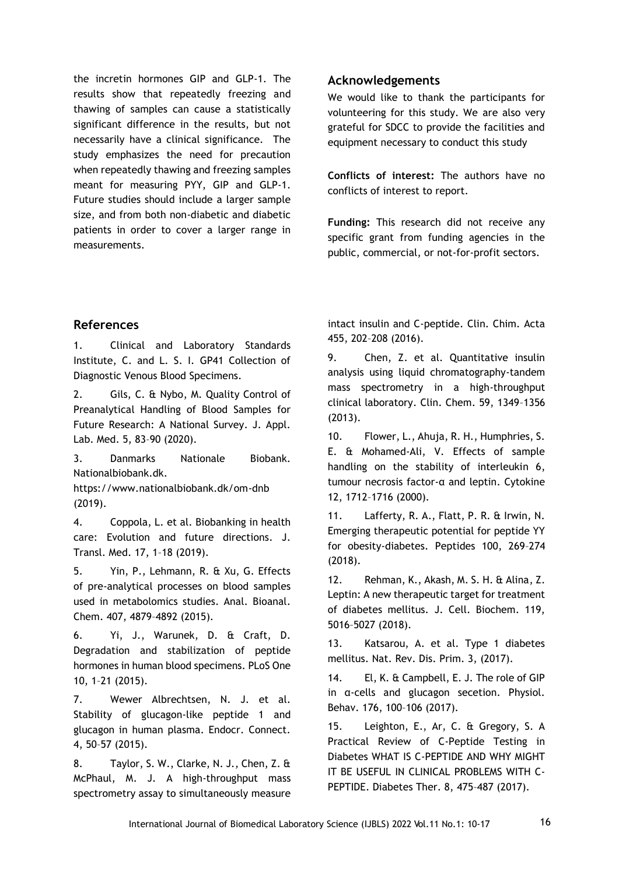the incretin hormones GIP and GLP-1. The results show that repeatedly freezing and thawing of samples can cause a statistically significant difference in the results, but not necessarily have a clinical significance. The study emphasizes the need for precaution when repeatedly thawing and freezing samples meant for measuring PYY, GIP and GLP-1. Future studies should include a larger sample size, and from both non-diabetic and diabetic patients in order to cover a larger range in measurements.

## **Acknowledgements**

We would like to thank the participants for volunteering for this study. We are also very grateful for SDCC to provide the facilities and equipment necessary to conduct this study

**Conflicts of interest:** The authors have no conflicts of interest to report.

**Funding:** This research did not receive any specific grant from funding agencies in the public, commercial, or not-for-profit sectors.

## **References**

1. Clinical and Laboratory Standards Institute, C. and L. S. I. GP41 Collection of Diagnostic Venous Blood Specimens.

2. Gils, C. & Nybo, M. Quality Control of Preanalytical Handling of Blood Samples for Future Research: A National Survey. J. Appl. Lab. Med. 5, 83–90 (2020).

3. Danmarks Nationale Biobank. Nationalbiobank.dk.

https://www.nationalbiobank.dk/om-dnb (2019).

4. Coppola, L. et al. Biobanking in health care: Evolution and future directions. J. Transl. Med. 17, 1–18 (2019).

5. Yin, P., Lehmann, R. & Xu, G. Effects of pre-analytical processes on blood samples used in metabolomics studies. Anal. Bioanal. Chem. 407, 4879–4892 (2015).

6. Yi, J., Warunek, D. & Craft, D. Degradation and stabilization of peptide hormones in human blood specimens. PLoS One 10, 1–21 (2015).

7. Wewer Albrechtsen, N. J. et al. Stability of glucagon-like peptide 1 and glucagon in human plasma. Endocr. Connect. 4, 50–57 (2015).

8. Taylor, S. W., Clarke, N. J., Chen, Z. & McPhaul, M. J. A high-throughput mass spectrometry assay to simultaneously measure intact insulin and C-peptide. Clin. Chim. Acta 455, 202–208 (2016).

9. Chen, Z. et al. Quantitative insulin analysis using liquid chromatography-tandem mass spectrometry in a high-throughput clinical laboratory. Clin. Chem. 59, 1349–1356 (2013).

10. Flower, L., Ahuja, R. H., Humphries, S. E. & Mohamed-Ali, V. Effects of sample handling on the stability of interleukin 6, tumour necrosis factor-α and leptin. Cytokine 12, 1712–1716 (2000).

11. Lafferty, R. A., Flatt, P. R. & Irwin, N. Emerging therapeutic potential for peptide YY for obesity-diabetes. Peptides 100, 269–274 (2018).

12. Rehman, K., Akash, M. S. H. & Alina, Z. Leptin: A new therapeutic target for treatment of diabetes mellitus. J. Cell. Biochem. 119, 5016–5027 (2018).

13. Katsarou, A. et al. Type 1 diabetes mellitus. Nat. Rev. Dis. Prim. 3, (2017).

14. El, K. & Campbell, E. J. The role of GIP in α-cells and glucagon secetion. Physiol. Behav. 176, 100–106 (2017).

15. Leighton, E., Ar, C. & Gregory, S. A Practical Review of C-Peptide Testing in Diabetes WHAT IS C-PEPTIDE AND WHY MIGHT IT BE USEFUL IN CLINICAL PROBLEMS WITH C-PEPTIDE. Diabetes Ther. 8, 475–487 (2017).